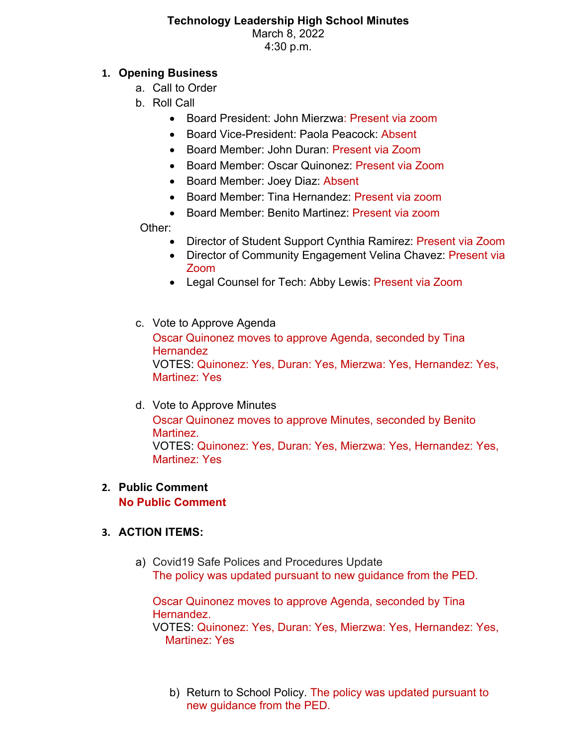## **Technology Leadership High School Minutes** March 8, 2022 4:30 p.m.

## **1. Opening Business**

- a. Call to Order
- b. Roll Call
	- Board President: John Mierzwa: Present via zoom
	- Board Vice-President: Paola Peacock: Absent
	- Board Member: John Duran: Present via Zoom
	- Board Member: Oscar Quinonez: Present via Zoom
	- Board Member: Joey Diaz: Absent
	- Board Member: Tina Hernandez: Present via zoom
	- Board Member: Benito Martinez: Present via zoom

Other:

- Director of Student Support Cynthia Ramirez: Present via Zoom
- Director of Community Engagement Velina Chavez: Present via Zoom
- Legal Counsel for Tech: Abby Lewis: Present via Zoom
- c. Vote to Approve Agenda Oscar Quinonez moves to approve Agenda, seconded by Tina **Hernandez** VOTES: Quinonez: Yes, Duran: Yes, Mierzwa: Yes, Hernandez: Yes, Martinez: Yes
- d. Vote to Approve Minutes Oscar Quinonez moves to approve Minutes, seconded by Benito Martinez. VOTES: Quinonez: Yes, Duran: Yes, Mierzwa: Yes, Hernandez: Yes, Martinez: Yes

# **2. Public Comment**

**No Public Comment**

# **3. ACTION ITEMS:**

a) Covid19 Safe Polices and Procedures Update The policy was updated pursuant to new guidance from the PED.

Oscar Quinonez moves to approve Agenda, seconded by Tina Hernandez. VOTES: Quinonez: Yes, Duran: Yes, Mierzwa: Yes, Hernandez: Yes, Martinez: Yes

b) Return to School Policy. The policy was updated pursuant to new guidance from the PED.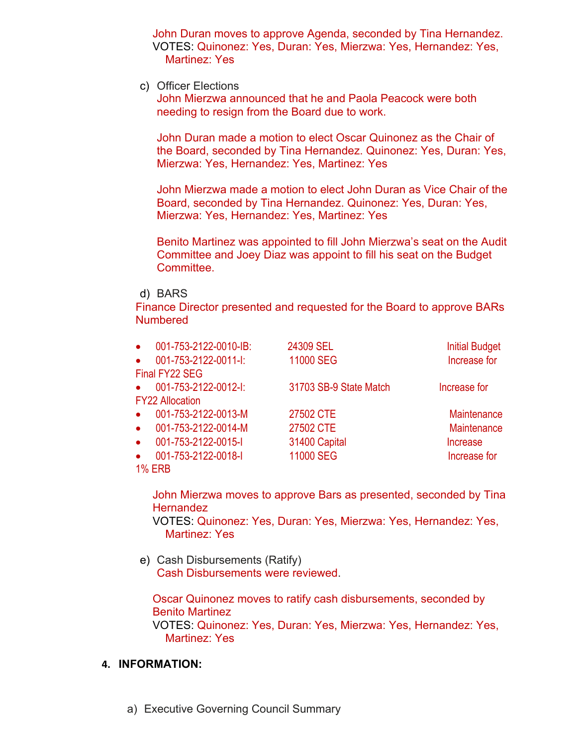John Duran moves to approve Agenda, seconded by Tina Hernandez. VOTES: Quinonez: Yes, Duran: Yes, Mierzwa: Yes, Hernandez: Yes, Martinez: Yes

c) Officer Elections

John Mierzwa announced that he and Paola Peacock were both needing to resign from the Board due to work.

John Duran made a motion to elect Oscar Quinonez as the Chair of the Board, seconded by Tina Hernandez. Quinonez: Yes, Duran: Yes, Mierzwa: Yes, Hernandez: Yes, Martinez: Yes

John Mierzwa made a motion to elect John Duran as Vice Chair of the Board, seconded by Tina Hernandez. Quinonez: Yes, Duran: Yes, Mierzwa: Yes, Hernandez: Yes, Martinez: Yes

Benito Martinez was appointed to fill John Mierzwa's seat on the Audit Committee and Joey Diaz was appoint to fill his seat on the Budget Committee.

#### d) BARS

Finance Director presented and requested for the Board to approve BARs **Numbered** 

| $\bullet$              | 001-753-2122-0010-IB: | 24309 SEL              | <b>Initial Budget</b> |
|------------------------|-----------------------|------------------------|-----------------------|
| $\bullet$              | 001-753-2122-0011-I:  | 11000 SEG              | Increase for          |
| Final FY22 SEG         |                       |                        |                       |
| $\bullet$              | 001-753-2122-0012-I:  | 31703 SB-9 State Match | Increase for          |
| <b>FY22 Allocation</b> |                       |                        |                       |
| $\bullet$              | 001-753-2122-0013-M   | 27502 CTE              | <b>Maintenance</b>    |
| $\bullet$              | 001-753-2122-0014-M   | 27502 CTE              | Maintenance           |
| $\bullet$              | 001-753-2122-0015-I   | 31400 Capital          | Increase              |
| $\bullet$              | 001-753-2122-0018-I   | 11000 SEG              | Increase for          |
| <b>1% ERB</b>          |                       |                        |                       |
|                        |                       |                        |                       |

John Mierzwa moves to approve Bars as presented, seconded by Tina **Hernandez** 

VOTES: Quinonez: Yes, Duran: Yes, Mierzwa: Yes, Hernandez: Yes, Martinez: Yes

e) Cash Disbursements (Ratify) Cash Disbursements were reviewed.

Oscar Quinonez moves to ratify cash disbursements, seconded by Benito Martinez VOTES: Quinonez: Yes, Duran: Yes, Mierzwa: Yes, Hernandez: Yes, Martinez: Yes

#### **4. INFORMATION:**